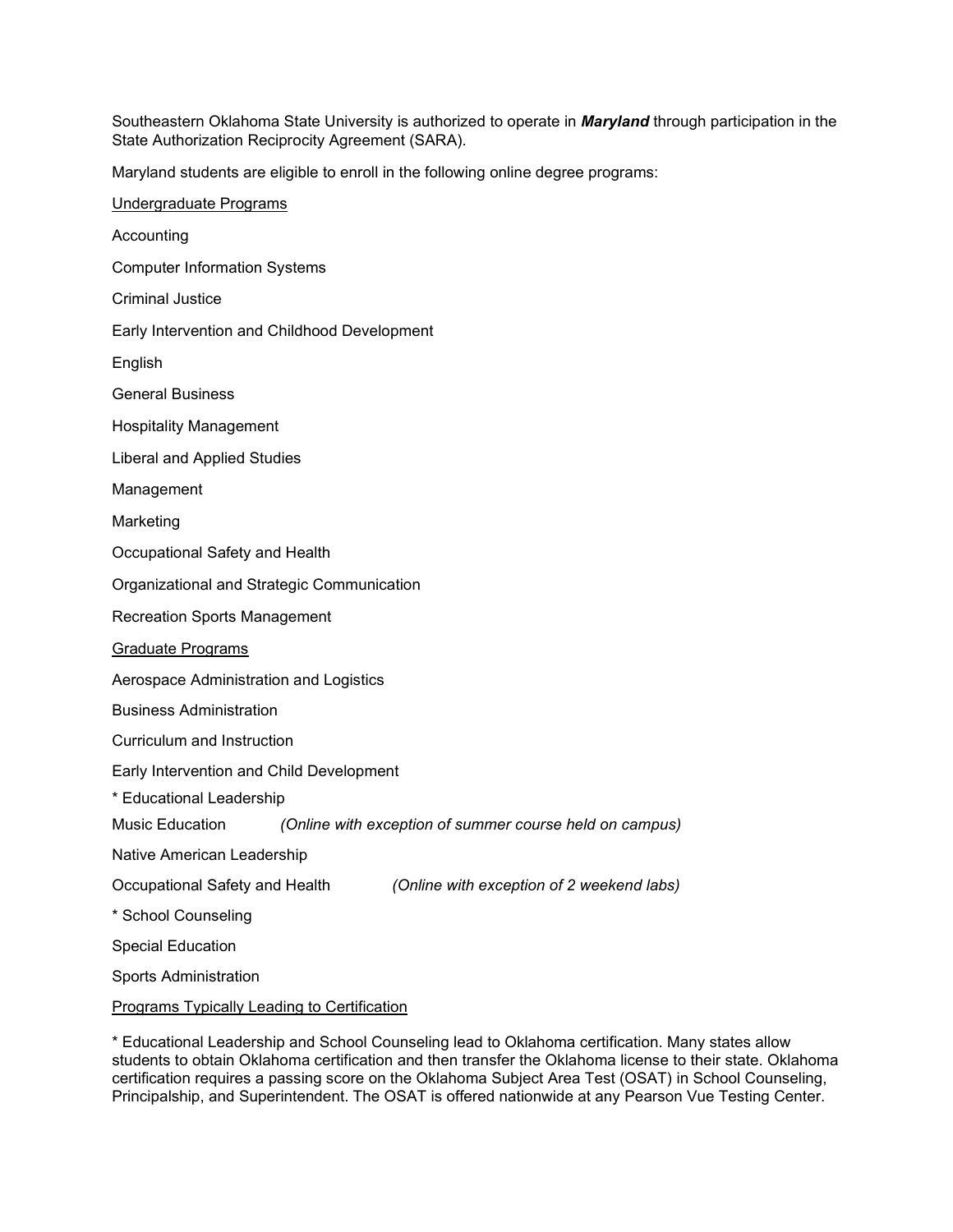Southeastern Oklahoma State University is authorized to operate in *Maryland* through participation in the State Authorization Reciprocity Agreement (SARA).

Maryland students are eligible to enroll in the following online degree programs:

| Undergraduate Programs                                                      |
|-----------------------------------------------------------------------------|
| Accounting                                                                  |
| <b>Computer Information Systems</b>                                         |
| <b>Criminal Justice</b>                                                     |
| Early Intervention and Childhood Development                                |
| English                                                                     |
| <b>General Business</b>                                                     |
| <b>Hospitality Management</b>                                               |
| <b>Liberal and Applied Studies</b>                                          |
| Management                                                                  |
| Marketing                                                                   |
| Occupational Safety and Health                                              |
| Organizational and Strategic Communication                                  |
| <b>Recreation Sports Management</b>                                         |
| Graduate Programs                                                           |
| Aerospace Administration and Logistics                                      |
| <b>Business Administration</b>                                              |
| Curriculum and Instruction                                                  |
| Early Intervention and Child Development                                    |
| * Educational Leadership                                                    |
| Music Education<br>(Online with exception of summer course held on campus)  |
| Native American Leadership                                                  |
| Occupational Safety and Health<br>(Online with exception of 2 weekend labs) |
| * School Counseling                                                         |
| <b>Special Education</b>                                                    |
| <b>Sports Administration</b>                                                |
| <b>Programs Typically Leading to Certification</b>                          |

\* Educational Leadership and School Counseling lead to Oklahoma certification. Many states allow students to obtain Oklahoma certification and then transfer the Oklahoma license to their state. Oklahoma certification requires a passing score on the Oklahoma Subject Area Test (OSAT) in School Counseling, Principalship, and Superintendent. The OSAT is offered nationwide at any Pearson Vue Testing Center.